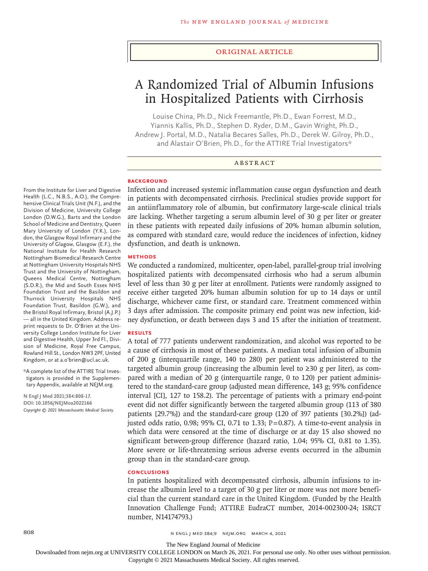#### Original Article

# A Randomized Trial of Albumin Infusions in Hospitalized Patients with Cirrhosis

Louise China, Ph.D., Nick Freemantle, Ph.D., Ewan Forrest, M.D., Yiannis Kallis, Ph.D., Stephen D. Ryder, D.M., Gavin Wright, Ph.D., Andrew J. Portal, M.D., Natalia Becares Salles, Ph.D., Derek W. Gilroy, Ph.D., and Alastair O'Brien, Ph.D., for the ATTIRE Trial Investigators\*

#### ABSTRACT

#### **BACKGROUND**

From the Institute for Liver and Digestive Health (L.C., N.B.S., A.O.), the Comprehensive Clinical Trials Unit (N.F.), and the Division of Medicine, University College London (D.W.G.), Barts and the London School of Medicine and Dentistry, Queen Mary University of London (Y.K.), London, the Glasgow Royal Infirmary and the University of Glagow, Glasgow (E.F.), the National Institute for Health Research Nottingham Biomedical Research Centre at Nottingham University Hospitals NHS Trust and the University of Nottingham, Queens Medical Centre, Nottingham (S.D.R.), the Mid and South Essex NHS Foundation Trust and the Basildon and Thurrock University Hospitals NHS Foundation Trust, Basildon (G.W.), and the Bristol Royal Infirmary, Bristol (A.J.P.) — all in the United Kingdom. Address reprint requests to Dr. O'Brien at the University College London Institute for Liver and Digestive Health, Upper 3rd Fl., Division of Medicine, Royal Free Campus, Rowland Hill St., London NW3 2PF, United Kingdom, or at a.o'brien@ucl.ac.uk.

\*A complete list of the ATTIRE Trial Investigators is provided in the Supplementary Appendix, available at NEJM.org.

**N Engl J Med 2021;384:808-17. DOI: 10.1056/NEJMoa2022166** *Copyright © 2021 Massachusetts Medical Society.* Infection and increased systemic inflammation cause organ dysfunction and death in patients with decompensated cirrhosis. Preclinical studies provide support for an antiinflammatory role of albumin, but confirmatory large-scale clinical trials are lacking. Whether targeting a serum albumin level of 30 g per liter or greater in these patients with repeated daily infusions of 20% human albumin solution, as compared with standard care, would reduce the incidences of infection, kidney dysfunction, and death is unknown.

#### **METHODS**

We conducted a randomized, multicenter, open-label, parallel-group trial involving hospitalized patients with decompensated cirrhosis who had a serum albumin level of less than 30 g per liter at enrollment. Patients were randomly assigned to receive either targeted 20% human albumin solution for up to 14 days or until discharge, whichever came first, or standard care. Treatment commenced within 3 days after admission. The composite primary end point was new infection, kidney dysfunction, or death between days 3 and 15 after the initiation of treatment.

# **RESULTS**

A total of 777 patients underwent randomization, and alcohol was reported to be a cause of cirrhosis in most of these patients. A median total infusion of albumin of 200 g (interquartile range, 140 to 280) per patient was administered to the targeted albumin group (increasing the albumin level to  $\geq 30$  g per liter), as compared with a median of 20 g (interquartile range, 0 to 120) per patient administered to the standard-care group (adjusted mean difference, 143 g; 95% confidence interval [CI], 127 to 158.2). The percentage of patients with a primary end-point event did not differ significantly between the targeted albumin group (113 of 380 patients [29.7%]) and the standard-care group (120 of 397 patients [30.2%]) (adjusted odds ratio, 0.98; 95% CI, 0.71 to 1.33;  $P=0.87$ ). A time-to-event analysis in which data were censored at the time of discharge or at day 15 also showed no significant between-group difference (hazard ratio, 1.04; 95% CI, 0.81 to 1.35). More severe or life-threatening serious adverse events occurred in the albumin group than in the standard-care group.

#### **CONCLUSIONS**

In patients hospitalized with decompensated cirrhosis, albumin infusions to increase the albumin level to a target of 30 g per liter or more was not more beneficial than the current standard care in the United Kingdom. (Funded by the Health Innovation Challenge Fund; ATTIRE EudraCT number, 2014-002300-24; ISRCT number, N14174793.)

808 **808** n engl j med 384;9 nejm.org March 4, 2021

The New England Journal of Medicine

Downloaded from nejm.org at UNIVERSITY COLLEGE LONDON on March 26, 2021. For personal use only. No other uses without permission.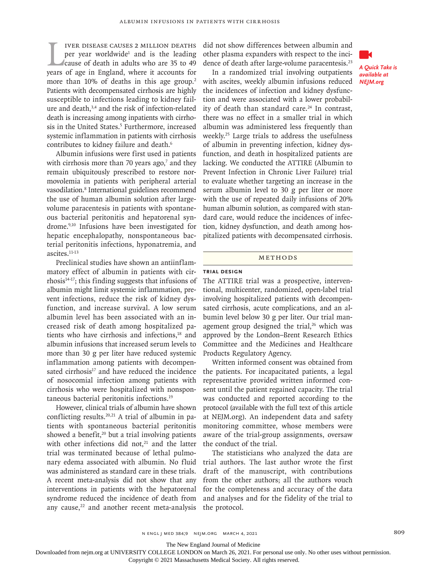IVER DISEASE CAUSES 2 MILLION DEATHS<br>per year worldwide<sup>1</sup> and is the leading<br>cause of death in adults who are 35 to 49<br>years of age in England, where it accounts for iver disease causes 2 million deaths per year worldwide<sup>1</sup> and is the leading cause of death in adults who are 35 to 49 more than 10% of deaths in this age group.<sup>2</sup> Patients with decompensated cirrhosis are highly susceptible to infections leading to kidney failure and death,<sup>3,4</sup> and the risk of infection-related death is increasing among inpatients with cirrhosis in the United States.<sup>5</sup> Furthermore, increased systemic inflammation in patients with cirrhosis contributes to kidney failure and death.<sup>6</sup>

Albumin infusions were first used in patients with cirrhosis more than 70 years ago, $7$  and they remain ubiquitously prescribed to restore normovolemia in patients with peripheral arterial vasodilation.8 International guidelines recommend the use of human albumin solution after largevolume paracentesis in patients with spontaneous bacterial peritonitis and hepatorenal syndrome.9,10 Infusions have been investigated for hepatic encephalopathy, nonspontaneous bacterial peritonitis infections, hyponatremia, and ascites.11-13

Preclinical studies have shown an antiinflammatory effect of albumin in patients with cirrhosis14-17; this finding suggests that infusions of albumin might limit systemic inflammation, prevent infections, reduce the risk of kidney dysfunction, and increase survival. A low serum albumin level has been associated with an increased risk of death among hospitalized patients who have cirrhosis and infections,<sup>18</sup> and albumin infusions that increased serum levels to more than 30 g per liter have reduced systemic inflammation among patients with decompensated cirrhosis<sup>17</sup> and have reduced the incidence of nosocomial infection among patients with cirrhosis who were hospitalized with nonspontaneous bacterial peritonitis infections.19

However, clinical trials of albumin have shown conflicting results.<sup>20,21</sup> A trial of albumin in patients with spontaneous bacterial peritonitis showed a benefit, $20$  but a trial involving patients with other infections did not.<sup>21</sup> and the latter trial was terminated because of lethal pulmonary edema associated with albumin. No fluid was administered as standard care in these trials. A recent meta-analysis did not show that any interventions in patients with the hepatorenal syndrome reduced the incidence of death from any cause, $22$  and another recent meta-analysis did not show differences between albumin and other plasma expanders with respect to the incidence of death after large-volume paracentesis.<sup>23</sup>

In a randomized trial involving outpatients with ascites, weekly albumin infusions reduced the incidences of infection and kidney dysfunction and were associated with a lower probability of death than standard care.<sup>24</sup> In contrast, there was no effect in a smaller trial in which albumin was administered less frequently than weekly.<sup>25</sup> Large trials to address the usefulness of albumin in preventing infection, kidney dysfunction, and death in hospitalized patients are lacking. We conducted the ATTIRE (Albumin to Prevent Infection in Chronic Liver Failure) trial to evaluate whether targeting an increase in the serum albumin level to 30 g per liter or more with the use of repeated daily infusions of 20% human albumin solution, as compared with standard care, would reduce the incidences of infection, kidney dysfunction, and death among hospitalized patients with decompensated cirrhosis.

#### Methods

# **Trial Design**

The ATTIRE trial was a prospective, interventional, multicenter, randomized, open-label trial involving hospitalized patients with decompensated cirrhosis, acute complications, and an albumin level below 30 g per liter. Our trial management group designed the trial,<sup>26</sup> which was approved by the London–Brent Research Ethics Committee and the Medicines and Healthcare Products Regulatory Agency.

Written informed consent was obtained from the patients. For incapacitated patients, a legal representative provided written informed consent until the patient regained capacity. The trial was conducted and reported according to the protocol (available with the full text of this article at NEJM.org). An independent data and safety monitoring committee, whose members were aware of the trial-group assignments, oversaw the conduct of the trial.

The statisticians who analyzed the data are trial authors. The last author wrote the first draft of the manuscript, with contributions from the other authors; all the authors vouch for the completeness and accuracy of the data and analyses and for the fidelity of the trial to the protocol.



*A Quick Take is available at NEJM.org*

The New England Journal of Medicine

Downloaded from nejm.org at UNIVERSITY COLLEGE LONDON on March 26, 2021. For personal use only. No other uses without permission.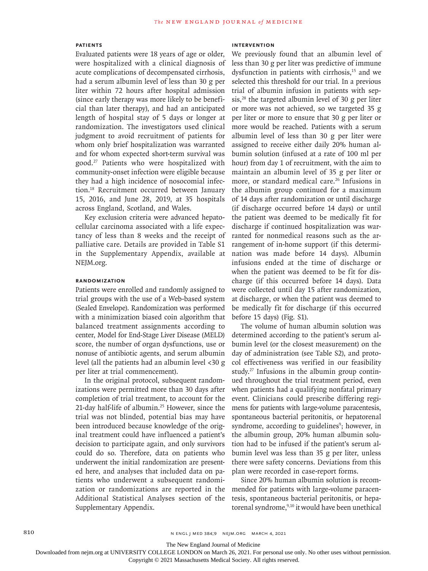#### **Patients**

Evaluated patients were 18 years of age or older, were hospitalized with a clinical diagnosis of acute complications of decompensated cirrhosis, had a serum albumin level of less than 30 g per liter within 72 hours after hospital admission (since early therapy was more likely to be beneficial than later therapy), and had an anticipated length of hospital stay of 5 days or longer at randomization. The investigators used clinical judgment to avoid recruitment of patients for whom only brief hospitalization was warranted and for whom expected short-term survival was good.27 Patients who were hospitalized with community-onset infection were eligible because they had a high incidence of nosocomial infection.18 Recruitment occurred between January 15, 2016, and June 28, 2019, at 35 hospitals across England, Scotland, and Wales.

Key exclusion criteria were advanced hepatocellular carcinoma associated with a life expectancy of less than 8 weeks and the receipt of palliative care. Details are provided in Table S1 in the Supplementary Appendix, available at NEJM.org.

### **Randomization**

Patients were enrolled and randomly assigned to trial groups with the use of a Web-based system (Sealed Envelope). Randomization was performed with a minimization biased coin algorithm that balanced treatment assignments according to center, Model for End-Stage Liver Disease (MELD) score, the number of organ dysfunctions, use or nonuse of antibiotic agents, and serum albumin level (all the patients had an albumin level <30 g per liter at trial commencement).

In the original protocol, subsequent randomizations were permitted more than 30 days after completion of trial treatment, to account for the 21-day half-life of albumin.<sup>25</sup> However, since the trial was not blinded, potential bias may have been introduced because knowledge of the original treatment could have influenced a patient's decision to participate again, and only survivors could do so. Therefore, data on patients who underwent the initial randomization are presented here, and analyses that included data on patients who underwent a subsequent randomization or randomizations are reported in the Additional Statistical Analyses section of the Supplementary Appendix.

# **Intervention**

We previously found that an albumin level of less than 30 g per liter was predictive of immune dysfunction in patients with cirrhosis,<sup>15</sup> and we selected this threshold for our trial. In a previous trial of albumin infusion in patients with sepsis, $28$  the targeted albumin level of 30 g per liter or more was not achieved, so we targeted 35 g per liter or more to ensure that 30 g per liter or more would be reached. Patients with a serum albumin level of less than 30 g per liter were assigned to receive either daily 20% human albumin solution (infused at a rate of 100 ml per hour) from day 1 of recruitment, with the aim to maintain an albumin level of 35 g per liter or more, or standard medical care.<sup>26</sup> Infusions in the albumin group continued for a maximum of 14 days after randomization or until discharge (if discharge occurred before 14 days) or until the patient was deemed to be medically fit for discharge if continued hospitalization was warranted for nonmedical reasons such as the arrangement of in-home support (if this determination was made before 14 days). Albumin infusions ended at the time of discharge or when the patient was deemed to be fit for discharge (if this occurred before 14 days). Data were collected until day 15 after randomization, at discharge, or when the patient was deemed to be medically fit for discharge (if this occurred before 15 days) (Fig. S1).

The volume of human albumin solution was determined according to the patient's serum albumin level (or the closest measurement) on the day of administration (see Table S2), and protocol effectiveness was verified in our feasibility study.27 Infusions in the albumin group continued throughout the trial treatment period, even when patients had a qualifying nonfatal primary event. Clinicians could prescribe differing regimens for patients with large-volume paracentesis, spontaneous bacterial peritonitis, or hepatorenal syndrome, according to guidelines<sup>9</sup>; however, in the albumin group, 20% human albumin solution had to be infused if the patient's serum albumin level was less than 35 g per liter, unless there were safety concerns. Deviations from this plan were recorded in case-report forms.

Since 20% human albumin solution is recommended for patients with large-volume paracentesis, spontaneous bacterial peritonitis, or hepatorenal syndrome,<sup>9,10</sup> it would have been unethical

The New England Journal of Medicine

Downloaded from nejm.org at UNIVERSITY COLLEGE LONDON on March 26, 2021. For personal use only. No other uses without permission.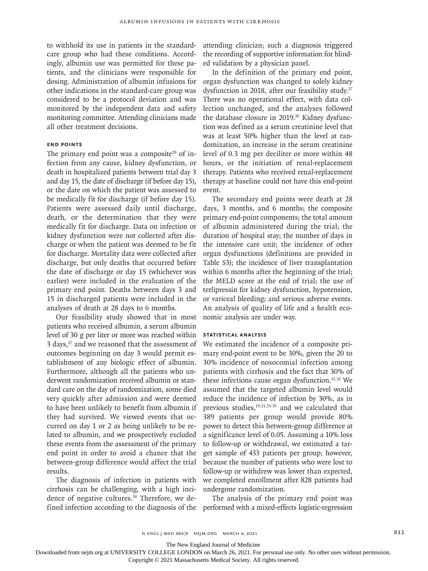to withhold its use in patients in the standardcare group who had these conditions. Accordingly, albumin use was permitted for these patients, and the clinicians were responsible for dosing. Administration of albumin infusions for other indications in the standard-care group was considered to be a protocol deviation and was monitored by the independent data and safety monitoring committee. Attending clinicians made all other treatment decisions.

#### **End Points**

The primary end point was a composite<sup>29</sup> of infection from any cause, kidney dysfunction, or death in hospitalized patients between trial day 3 and day 15, the date of discharge (if before day 15), or the date on which the patient was assessed to be medically fit for discharge (if before day 15). Patients were assessed daily until discharge, death, or the determination that they were medically fit for discharge. Data on infection or kidney dysfunction were not collected after discharge or when the patient was deemed to be fit for discharge. Mortality data were collected after discharge, but only deaths that occurred before the date of discharge or day 15 (whichever was earlier) were included in the evaluation of the primary end point. Deaths between days 3 and 15 in discharged patients were included in the analyses of death at 28 days to 6 months.

Our feasibility study showed that in most patients who received albumin, a serum albumin level of 30 g per liter or more was reached within 3 days,<sup>27</sup> and we reasoned that the assessment of outcomes beginning on day 3 would permit establishment of any biologic effect of albumin. Furthermore, although all the patients who underwent randomization received albumin or standard care on the day of randomization, some died very quickly after admission and were deemed to have been unlikely to benefit from albumin if they had survived. We viewed events that occurred on day 1 or 2 as being unlikely to be related to albumin, and we prospectively excluded these events from the assessment of the primary end point in order to avoid a chance that the between-group difference would affect the trial results.

The diagnosis of infection in patients with cirrhosis can be challenging, with a high incidence of negative cultures.<sup>30</sup> Therefore, we defined infection according to the diagnosis of the attending clinician; such a diagnosis triggered the recording of supportive information for blinded validation by a physician panel.

In the definition of the primary end point, organ dysfunction was changed to solely kidney dysfunction in 2018, after our feasibility study.<sup>27</sup> There was no operational effect, with data collection unchanged, and the analyses followed the database closure in 2019.<sup>26</sup> Kidney dysfunction was defined as a serum creatinine level that was at least 50% higher than the level at randomization, an increase in the serum creatinine level of 0.3 mg per deciliter or more within 48 hours, or the initiation of renal-replacement therapy. Patients who received renal-replacement therapy at baseline could not have this end-point event.

The secondary end points were death at 28 days, 3 months, and 6 months; the composite primary end-point components; the total amount of albumin administered during the trial; the duration of hospital stay; the number of days in the intensive care unit; the incidence of other organ dysfunctions (definitions are provided in Table S3); the incidence of liver transplantation within 6 months after the beginning of the trial; the MELD score at the end of trial; the use of terlipressin for kidney dysfunction, hypotension, or variceal bleeding; and serious adverse events. An analysis of quality of life and a health economic analysis are under way.

### **Statistical Analysis**

We estimated the incidence of a composite primary end-point event to be 30%, given the 20 to 30% incidence of nosocomial infection among patients with cirrhosis and the fact that 30% of these infections cause organ dysfunction.31,32 We assumed that the targeted albumin level would reduce the incidence of infection by 30%, as in previous studies,19-21,33-35 and we calculated that 389 patients per group would provide 80% power to detect this between-group difference at a significance level of 0.05. Assuming a 10% loss to follow-up or withdrawal, we estimated a target sample of 433 patients per group; however, because the number of patients who were lost to follow-up or withdrew was lower than expected, we completed enrollment after 828 patients had undergone randomization.

The analysis of the primary end point was performed with a mixed-effects logistic-regression

The New England Journal of Medicine

Downloaded from nejm.org at UNIVERSITY COLLEGE LONDON on March 26, 2021. For personal use only. No other uses without permission.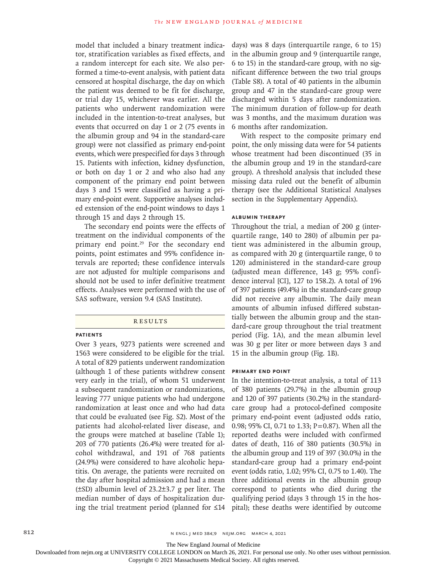model that included a binary treatment indicator, stratification variables as fixed effects, and a random intercept for each site. We also performed a time-to-event analysis, with patient data censored at hospital discharge, the day on which the patient was deemed to be fit for discharge, or trial day 15, whichever was earlier. All the patients who underwent randomization were included in the intention-to-treat analyses, but events that occurred on day 1 or 2 (75 events in the albumin group and 94 in the standard-care group) were not classified as primary end-point events, which were prespecified for days 3 through 15. Patients with infection, kidney dysfunction, or both on day 1 or 2 and who also had any component of the primary end point between days 3 and 15 were classified as having a primary end-point event. Supportive analyses included extension of the end-point windows to days 1 through 15 and days 2 through 15.

The secondary end points were the effects of treatment on the individual components of the primary end point.<sup>29</sup> For the secondary end points, point estimates and 95% confidence intervals are reported; these confidence intervals are not adjusted for multiple comparisons and should not be used to infer definitive treatment effects. Analyses were performed with the use of SAS software, version 9.4 (SAS Institute).

**RESULTS** 

### **Patients**

Over 3 years, 9273 patients were screened and 1563 were considered to be eligible for the trial. A total of 829 patients underwent randomization (although 1 of these patients withdrew consent very early in the trial), of whom 51 underwent a subsequent randomization or randomizations, leaving 777 unique patients who had undergone randomization at least once and who had data that could be evaluated (see Fig. S2). Most of the patients had alcohol-related liver disease, and the groups were matched at baseline (Table 1); 203 of 770 patients (26.4%) were treated for alcohol withdrawal, and 191 of 768 patients (24.9%) were considered to have alcoholic hepatitis. On average, the patients were recruited on the day after hospital admission and had a mean (±SD) albumin level of 23.2±3.7 g per liter. The median number of days of hospitalization during the trial treatment period (planned for ≤14

days) was 8 days (interquartile range, 6 to 15) in the albumin group and 9 (interquartile range, 6 to 15) in the standard-care group, with no significant difference between the two trial groups (Table S8). A total of 40 patients in the albumin group and 47 in the standard-care group were discharged within 5 days after randomization. The minimum duration of follow-up for death was 3 months, and the maximum duration was 6 months after randomization.

With respect to the composite primary end point, the only missing data were for 54 patients whose treatment had been discontinued (35 in the albumin group and 19 in the standard-care group). A threshold analysis that included these missing data ruled out the benefit of albumin therapy (see the Additional Statistical Analyses section in the Supplementary Appendix).

#### **Albumin Therapy**

Throughout the trial, a median of 200 g (interquartile range, 140 to 280) of albumin per patient was administered in the albumin group, as compared with 20 g (interquartile range, 0 to 120) administered in the standard-care group (adjusted mean difference, 143 g; 95% confidence interval [CI], 127 to 158.2). A total of 196 of 397 patients (49.4%) in the standard-care group did not receive any albumin. The daily mean amounts of albumin infused differed substantially between the albumin group and the standard-care group throughout the trial treatment period (Fig. 1A), and the mean albumin level was 30 g per liter or more between days 3 and 15 in the albumin group (Fig. 1B).

#### **Primary End Point**

In the intention-to-treat analysis, a total of 113 of 380 patients (29.7%) in the albumin group and 120 of 397 patients (30.2%) in the standardcare group had a protocol-defined composite primary end-point event (adjusted odds ratio, 0.98; 95% CI, 0.71 to 1.33; P=0.87). When all the reported deaths were included with confirmed dates of death, 116 of 380 patients (30.5%) in the albumin group and 119 of 397 (30.0%) in the standard-care group had a primary end-point event (odds ratio, 1.02; 95% CI, 0.75 to 1.40). The three additional events in the albumin group correspond to patients who died during the qualifying period (days 3 through 15 in the hospital); these deaths were identified by outcome

The New England Journal of Medicine

Downloaded from nejm.org at UNIVERSITY COLLEGE LONDON on March 26, 2021. For personal use only. No other uses without permission.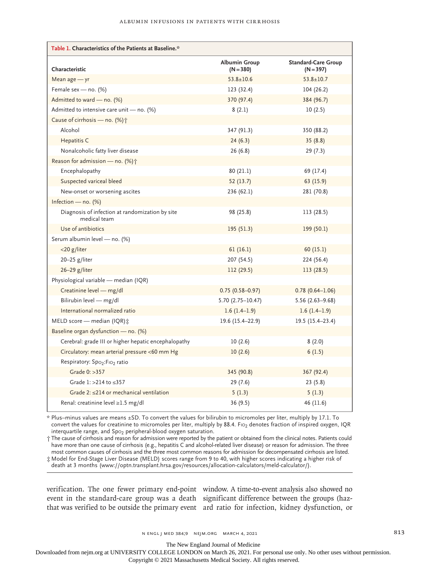| Table 1. Characteristics of the Patients at Baseline.*          |                              |                                           |
|-----------------------------------------------------------------|------------------------------|-------------------------------------------|
| Characteristic                                                  | Albumin Group<br>$(N = 380)$ | <b>Standard-Care Group</b><br>$(N = 397)$ |
| Mean $age - yr$                                                 | $53.8 \pm 10.6$              | $53.8 \pm 10.7$                           |
| Female sex - no. (%)                                            | 123 (32.4)                   | 104 (26.2)                                |
| Admitted to ward - no. (%)                                      | 370 (97.4)                   | 384 (96.7)                                |
| Admitted to intensive care unit - no. (%)                       | 8(2.1)                       | 10(2.5)                                   |
| Cause of cirrhosis — no. $(\%)\uparrow$                         |                              |                                           |
| Alcohol                                                         | 347 (91.3)                   | 350 (88.2)                                |
| Hepatitis C                                                     | 24(6.3)                      | 35(8.8)                                   |
| Nonalcoholic fatty liver disease                                | 26 (6.8)                     | 29(7.3)                                   |
| Reason for admission - no. (%) <sup>+</sup>                     |                              |                                           |
| Encephalopathy                                                  | 80(21.1)                     | 69 (17.4)                                 |
| Suspected variceal bleed                                        | 52(13.7)                     | 63 (15.9)                                 |
| New-onset or worsening ascites                                  | 236 (62.1)                   | 281 (70.8)                                |
| Infection - no. $(\%)$                                          |                              |                                           |
| Diagnosis of infection at randomization by site<br>medical team | 98 (25.8)                    | 113 (28.5)                                |
| Use of antibiotics                                              | 195 (51.3)                   | 199 (50.1)                                |
| Serum albumin level - no. (%)                                   |                              |                                           |
| $<$ 20 g/liter                                                  | 61(16.1)                     | 60(15.1)                                  |
| $20-25$ g/liter                                                 | 207 (54.5)                   | 224 (56.4)                                |
| 26-29 g/liter                                                   | 112 (29.5)                   | 113(28.5)                                 |
| Physiological variable - median (IQR)                           |                              |                                           |
| Creatinine level - mg/dl                                        | $0.75(0.58 - 0.97)$          | $0.78(0.64 - 1.06)$                       |
| Bilirubin level - mg/dl                                         | $5.70(2.75 - 10.47)$         | $5.56(2.63 - 9.68)$                       |
| International normalized ratio                                  | $1.6(1.4-1.9)$               | $1.6(1.4-1.9)$                            |
| MELD score - median (IQR) ±                                     | 19.6 (15.4-22.9)             | $19.5(15.4-23.4)$                         |
| Baseline organ dysfunction - no. (%)                            |                              |                                           |
| Cerebral: grade III or higher hepatic encephalopathy            | 10(2.6)                      | 8(2.0)                                    |
| Circulatory: mean arterial pressure <60 mm Hg                   | 10(2.6)                      | 6(1.5)                                    |
| Respiratory: Spo <sub>2</sub> : Fio <sub>2</sub> ratio          |                              |                                           |
| Grade 0: >357                                                   | 345 (90.8)                   | 367 (92.4)                                |
| Grade 1: >214 to ≤357                                           | 29 (7.6)                     | 23(5.8)                                   |
| Grade 2: $\leq$ 214 or mechanical ventilation                   | 5(1.3)                       | 5(1.3)                                    |
| Renal: creatinine level ≥1.5 mg/dl                              | 36 (9.5)                     | 46 (11.6)                                 |

\* Plus–minus values are means ±SD. To convert the values for bilirubin to micromoles per liter, multiply by 17.1. To convert the values for creatinine to micromoles per liter, multiply by 88.4. Fio<sub>2</sub> denotes fraction of inspired oxygen, IQR interquartile range, and Spo<sub>2</sub> peripheral-blood oxygen saturation.

† The cause of cirrhosis and reason for admission were reported by the patient or obtained from the clinical notes. Patients could have more than one cause of cirrhosis (e.g., hepatitis C and alcohol-related liver disease) or reason for admission. The three most common causes of cirrhosis and the three most common reasons for admission for decompensated cirrhosis are listed. ‡ Model for End-Stage Liver Disease (MELD) scores range from 9 to 40, with higher scores indicating a higher risk of

death at 3 months (www://optn.transplant.hrsa.gov/resources/allocation-calculators/meld-calculator/).

verification. The one fewer primary end-point window. A time-to-event analysis also showed no event in the standard-care group was a death significant difference between the groups (hazthat was verified to be outside the primary event ard ratio for infection, kidney dysfunction, or

The New England Journal of Medicine

Downloaded from nejm.org at UNIVERSITY COLLEGE LONDON on March 26, 2021. For personal use only. No other uses without permission.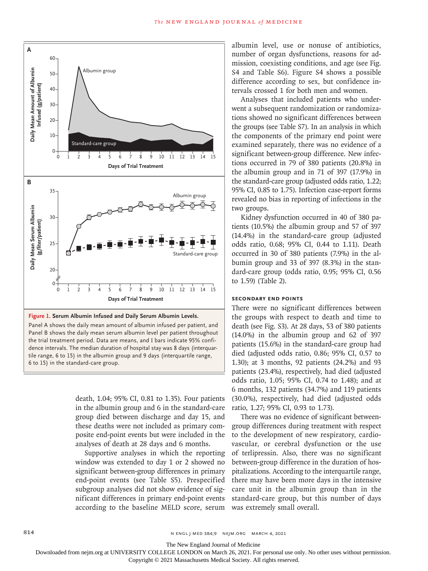

Panel A shows the daily mean amount of albumin infused per patient, and Panel B shows the daily mean serum albumin level per patient throughout the trial treatment period. Data are means, and I bars indicate 95% confidence intervals. The median duration of hospital stay was 8 days (interquartile range, 6 to 15) in the albumin group and 9 days (interquartile range,

death, 1.04; 95% CI, 0.81 to 1.35). Four patients in the albumin group and 6 in the standard-care group died between discharge and day 15, and these deaths were not included as primary composite end-point events but were included in the analyses of death at 28 days and 6 months.

Supportive analyses in which the reporting window was extended to day 1 or 2 showed no significant between-group differences in primary end-point events (see Table S5). Prespecified subgroup analyses did not show evidence of significant differences in primary end-point events according to the baseline MELD score, serum

albumin level, use or nonuse of antibiotics, number of organ dysfunctions, reasons for admission, coexisting conditions, and age (see Fig. S4 and Table S6). Figure S4 shows a possible difference according to sex, but confidence intervals crossed 1 for both men and women.

Analyses that included patients who underwent a subsequent randomization or randomizations showed no significant differences between the groups (see Table S7). In an analysis in which the components of the primary end point were examined separately, there was no evidence of a significant between-group difference. New infections occurred in 79 of 380 patients (20.8%) in the albumin group and in 71 of 397 (17.9%) in the standard-care group (adjusted odds ratio, 1.22; 95% CI, 0.85 to 1.75). Infection case-report forms revealed no bias in reporting of infections in the two groups.

Kidney dysfunction occurred in 40 of 380 patients (10.5%) the albumin group and 57 of 397 (14.4%) in the standard-care group (adjusted odds ratio, 0.68; 95% CI, 0.44 to 1.11). Death occurred in 30 of 380 patients (7.9%) in the albumin group and 33 of 397 (8.3%) in the standard-care group (odds ratio, 0.95; 95% CI, 0.56 to 1.59) (Table 2).

# **Secondary End Points**

There were no significant differences between the groups with respect to death and time to death (see Fig. S3). At 28 days, 53 of 380 patients (14.0%) in the albumin group and 62 of 397 patients (15.6%) in the standard-care group had died (adjusted odds ratio, 0.86; 95% CI, 0.57 to 1.30); at 3 months, 92 patients (24.2%) and 93 patients (23.4%), respectively, had died (adjusted odds ratio, 1.05; 95% CI, 0.74 to 1.48); and at 6 months, 132 patients (34.7%) and 119 patients (30.0%), respectively, had died (adjusted odds ratio, 1.27; 95% CI, 0.93 to 1.73).

There was no evidence of significant betweengroup differences during treatment with respect to the development of new respiratory, cardiovascular, or cerebral dysfunction or the use of terlipressin. Also, there was no significant between-group difference in the duration of hospitalizations. According to the interquartile range, there may have been more days in the intensive care unit in the albumin group than in the standard-care group, but this number of days was extremely small overall.

The New England Journal of Medicine

Downloaded from nejm.org at UNIVERSITY COLLEGE LONDON on March 26, 2021. For personal use only. No other uses without permission.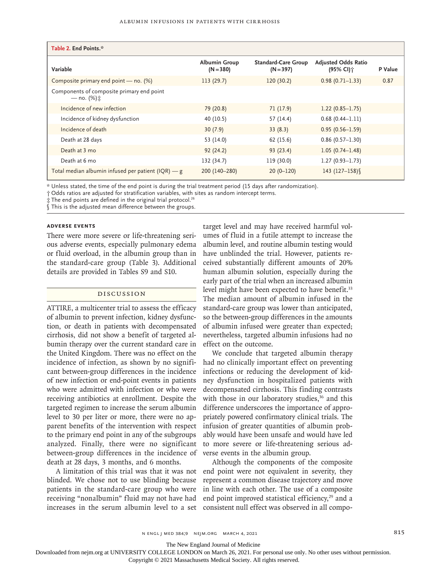| Table 2. End Points.*                                               |                                     |                                           |                                                     |         |
|---------------------------------------------------------------------|-------------------------------------|-------------------------------------------|-----------------------------------------------------|---------|
| Variable                                                            | <b>Albumin Group</b><br>$(N = 380)$ | <b>Standard-Care Group</b><br>$(N = 397)$ | <b>Adjusted Odds Ratio</b><br>(95% CI) <sup>+</sup> | P Value |
| Composite primary end point — no. (%)                               | 113(29.7)                           | 120(30.2)                                 | $0.98(0.71 - 1.33)$                                 | 0.87    |
| Components of composite primary end point<br>— no. (%) <del>i</del> |                                     |                                           |                                                     |         |
| Incidence of new infection                                          | 79 (20.8)                           | 71 (17.9)                                 | $1.22(0.85 - 1.75)$                                 |         |
| Incidence of kidney dysfunction                                     | 40 (10.5)                           | 57 (14.4)                                 | $0.68(0.44 - 1.11)$                                 |         |
| Incidence of death                                                  | 30(7.9)                             | 33(8.3)                                   | $0.95(0.56 - 1.59)$                                 |         |
| Death at 28 days                                                    | 53 (14.0)                           | 62 (15.6)                                 | $0.86(0.57 - 1.30)$                                 |         |
| Death at 3 mo                                                       | 92(24.2)                            | 93(23.4)                                  | $1.05(0.74 - 1.48)$                                 |         |
| Death at 6 mo                                                       | 132 (34.7)                          | 119 (30.0)                                | $1.27(0.93 - 1.73)$                                 |         |
| Total median albumin infused per patient $( IQR)$ - g               | 200 (140-280)                       | $20(0-120)$                               | 143 (127-158)                                       |         |

\* Unless stated, the time of the end point is during the trial treatment period (15 days after randomization).

† Odds ratios are adjusted for stratification variables, with sites as random intercept terms.

 $\pm$  The end points are defined in the original trial protocol.<sup>26</sup>

§ This is the adjusted mean difference between the groups.

#### **Adverse Events**

There were more severe or life-threatening serious adverse events, especially pulmonary edema or fluid overload, in the albumin group than in the standard-care group (Table 3). Additional details are provided in Tables S9 and S10.

#### Discussion

ATTIRE, a multicenter trial to assess the efficacy of albumin to prevent infection, kidney dysfunction, or death in patients with decompensated cirrhosis, did not show a benefit of targeted albumin therapy over the current standard care in the United Kingdom. There was no effect on the incidence of infection, as shown by no significant between-group differences in the incidence of new infection or end-point events in patients who were admitted with infection or who were receiving antibiotics at enrollment. Despite the targeted regimen to increase the serum albumin level to 30 per liter or more, there were no apparent benefits of the intervention with respect to the primary end point in any of the subgroups analyzed. Finally, there were no significant between-group differences in the incidence of verse events in the albumin group. death at 28 days, 3 months, and 6 months.

A limitation of this trial was that it was not blinded. We chose not to use blinding because patients in the standard-care group who were receiving "nonalbumin" fluid may not have had increases in the serum albumin level to a set consistent null effect was observed in all compo-

target level and may have received harmful volumes of fluid in a futile attempt to increase the albumin level, and routine albumin testing would have unblinded the trial. However, patients received substantially different amounts of 20% human albumin solution, especially during the early part of the trial when an increased albumin level might have been expected to have benefit.<sup>33</sup> The median amount of albumin infused in the standard-care group was lower than anticipated, so the between-group differences in the amounts of albumin infused were greater than expected; nevertheless, targeted albumin infusions had no effect on the outcome.

We conclude that targeted albumin therapy had no clinically important effect on preventing infections or reducing the development of kidney dysfunction in hospitalized patients with decompensated cirrhosis. This finding contrasts with those in our laboratory studies,<sup>36</sup> and this difference underscores the importance of appropriately powered confirmatory clinical trials. The infusion of greater quantities of albumin probably would have been unsafe and would have led to more severe or life-threatening serious ad-

Although the components of the composite end point were not equivalent in severity, they represent a common disease trajectory and move in line with each other. The use of a composite end point improved statistical efficiency,<sup>29</sup> and a

The New England Journal of Medicine

Downloaded from nejm.org at UNIVERSITY COLLEGE LONDON on March 26, 2021. For personal use only. No other uses without permission.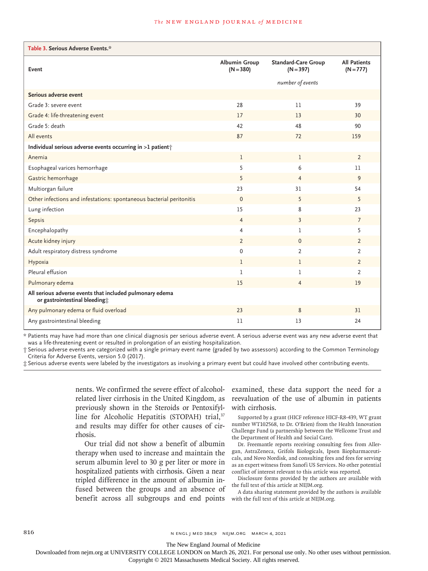#### **The NEW ENGLAND JOURNAL of MEDICINE**

| Table 3. Serious Adverse Events.*                                                         |                                     |                                           |                                    |  |  |  |
|-------------------------------------------------------------------------------------------|-------------------------------------|-------------------------------------------|------------------------------------|--|--|--|
| Event                                                                                     | <b>Albumin Group</b><br>$(N = 380)$ | <b>Standard-Care Group</b><br>$(N = 397)$ | <b>All Patients</b><br>$(N = 777)$ |  |  |  |
|                                                                                           |                                     | number of events                          |                                    |  |  |  |
| Serious adverse event                                                                     |                                     |                                           |                                    |  |  |  |
| Grade 3: severe event                                                                     | 28                                  | 11                                        | 39                                 |  |  |  |
| Grade 4: life-threatening event                                                           | 17                                  | 13                                        | 30                                 |  |  |  |
| Grade 5: death                                                                            | 42                                  | 48                                        | 90                                 |  |  |  |
| All events                                                                                | 87                                  | 72                                        | 159                                |  |  |  |
| Individual serious adverse events occurring in >1 patient +                               |                                     |                                           |                                    |  |  |  |
| Anemia                                                                                    | $\mathbf{1}$                        | $\mathbf{1}$                              | $\overline{2}$                     |  |  |  |
| Esophageal varices hemorrhage                                                             | 5                                   | 6                                         | 11                                 |  |  |  |
| Gastric hemorrhage                                                                        | 5                                   | $\overline{4}$                            | 9                                  |  |  |  |
| Multiorgan failure                                                                        | 23                                  | 31                                        | 54                                 |  |  |  |
| Other infections and infestations: spontaneous bacterial peritonitis                      | $\mathbf{0}$                        | 5                                         | 5                                  |  |  |  |
| Lung infection                                                                            | 15                                  | 8                                         | 23                                 |  |  |  |
| Sepsis                                                                                    | $\overline{4}$                      | $\overline{3}$                            | $\overline{7}$                     |  |  |  |
| Encephalopathy                                                                            | $\overline{4}$                      | 1                                         | 5                                  |  |  |  |
| Acute kidney injury                                                                       | $\overline{2}$                      | $\mathbf{0}$                              | $\overline{2}$                     |  |  |  |
| Adult respiratory distress syndrome                                                       | $\mathbf 0$                         | $\overline{2}$                            | $\overline{2}$                     |  |  |  |
| Hypoxia                                                                                   | $\mathbf{1}$                        | $\mathbf{1}$                              | $\overline{2}$                     |  |  |  |
| Pleural effusion                                                                          | $\mathbf{1}$                        | 1                                         | $\overline{2}$                     |  |  |  |
| Pulmonary edema                                                                           | 15                                  | 4                                         | 19                                 |  |  |  |
| All serious adverse events that included pulmonary edema<br>or gastrointestinal bleeding; |                                     |                                           |                                    |  |  |  |
| Any pulmonary edema or fluid overload                                                     | 23                                  | 8                                         | 31                                 |  |  |  |
| Any gastrointestinal bleeding                                                             | 11                                  | 13                                        | 24                                 |  |  |  |

\* Patients may have had more than one clinical diagnosis per serious adverse event. A serious adverse event was any new adverse event that was a life-threatening event or resulted in prolongation of an existing hospitalization.

† Serious adverse events are categorized with a single primary event name (graded by two assessors) according to the Common Terminology Criteria for Adverse Events, version 5.0 (2017).

‡ Serious adverse events were labeled by the investigators as involving a primary event but could have involved other contributing events.

nents. We confirmed the severe effect of alcoholrelated liver cirrhosis in the United Kingdom, as previously shown in the Steroids or Pentoxifylline for Alcoholic Hepatitis (STOPAH) trial,<sup>37</sup> and results may differ for other causes of cirrhosis.

Our trial did not show a benefit of albumin therapy when used to increase and maintain the serum albumin level to 30 g per liter or more in hospitalized patients with cirrhosis. Given a near tripled difference in the amount of albumin infused between the groups and an absence of benefit across all subgroups and end points

examined, these data support the need for a reevaluation of the use of albumin in patients with cirrhosis.

Supported by a grant (HICF reference HICF-R8-439, WT grant number WT102568, to Dr. O'Brien) from the Health Innovation Challenge Fund (a partnership between the Wellcome Trust and the Department of Health and Social Care).

Dr. Freemantle reports receiving consulting fees from Allergan, AstraZeneca, Grifols Biologicals, Ipsen Biopharmaceuticals, and Novo Nordisk, and consulting fees and fees for serving as an expert witness from Sanofi US Services. No other potential conflict of interest relevant to this article was reported.

Disclosure forms provided by the authors are available with the full text of this article at NEJM.org.

A data sharing statement provided by the authors is available with the full text of this article at NEJM.org.

816 **816** N ENGL J MED 384;9 NEJM.ORG MARCH 4, 2021

The New England Journal of Medicine

Downloaded from nejm.org at UNIVERSITY COLLEGE LONDON on March 26, 2021. For personal use only. No other uses without permission.